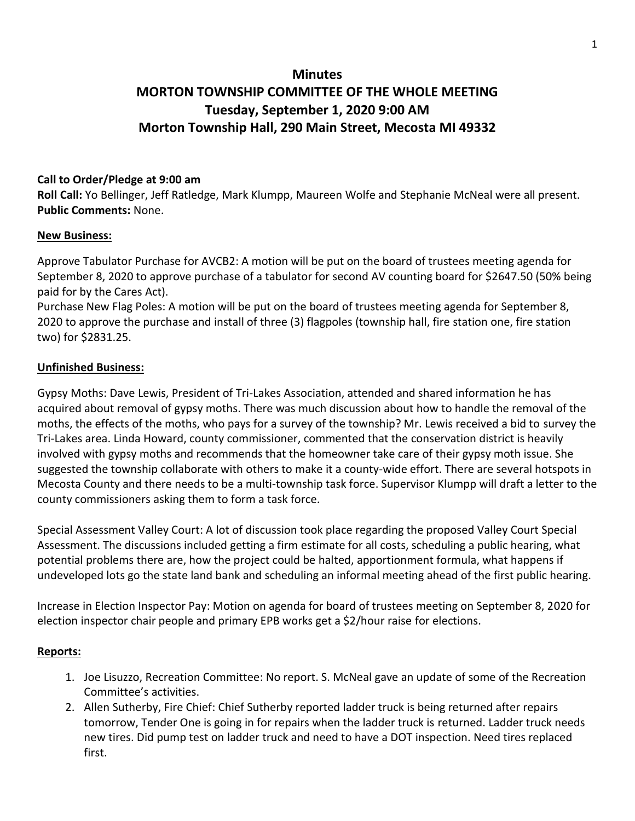# **Minutes MORTON TOWNSHIP COMMITTEE OF THE WHOLE MEETING Tuesday, September 1, 2020 9:00 AM Morton Township Hall, 290 Main Street, Mecosta MI 49332**

## **Call to Order/Pledge at 9:00 am**

**Roll Call:** Yo Bellinger, Jeff Ratledge, Mark Klumpp, Maureen Wolfe and Stephanie McNeal were all present. **Public Comments:** None.

### **New Business:**

Approve Tabulator Purchase for AVCB2: A motion will be put on the board of trustees meeting agenda for September 8, 2020 to approve purchase of a tabulator for second AV counting board for \$2647.50 (50% being paid for by the Cares Act).

Purchase New Flag Poles: A motion will be put on the board of trustees meeting agenda for September 8, 2020 to approve the purchase and install of three (3) flagpoles (township hall, fire station one, fire station two) for \$2831.25.

### **Unfinished Business:**

Gypsy Moths: Dave Lewis, President of Tri-Lakes Association, attended and shared information he has acquired about removal of gypsy moths. There was much discussion about how to handle the removal of the moths, the effects of the moths, who pays for a survey of the township? Mr. Lewis received a bid to survey the Tri-Lakes area. Linda Howard, county commissioner, commented that the conservation district is heavily involved with gypsy moths and recommends that the homeowner take care of their gypsy moth issue. She suggested the township collaborate with others to make it a county-wide effort. There are several hotspots in Mecosta County and there needs to be a multi-township task force. Supervisor Klumpp will draft a letter to the county commissioners asking them to form a task force.

Special Assessment Valley Court: A lot of discussion took place regarding the proposed Valley Court Special Assessment. The discussions included getting a firm estimate for all costs, scheduling a public hearing, what potential problems there are, how the project could be halted, apportionment formula, what happens if undeveloped lots go the state land bank and scheduling an informal meeting ahead of the first public hearing.

Increase in Election Inspector Pay: Motion on agenda for board of trustees meeting on September 8, 2020 for election inspector chair people and primary EPB works get a \$2/hour raise for elections.

### **Reports:**

- 1. Joe Lisuzzo, Recreation Committee: No report. S. McNeal gave an update of some of the Recreation Committee's activities.
- 2. Allen Sutherby, Fire Chief: Chief Sutherby reported ladder truck is being returned after repairs tomorrow, Tender One is going in for repairs when the ladder truck is returned. Ladder truck needs new tires. Did pump test on ladder truck and need to have a DOT inspection. Need tires replaced first.